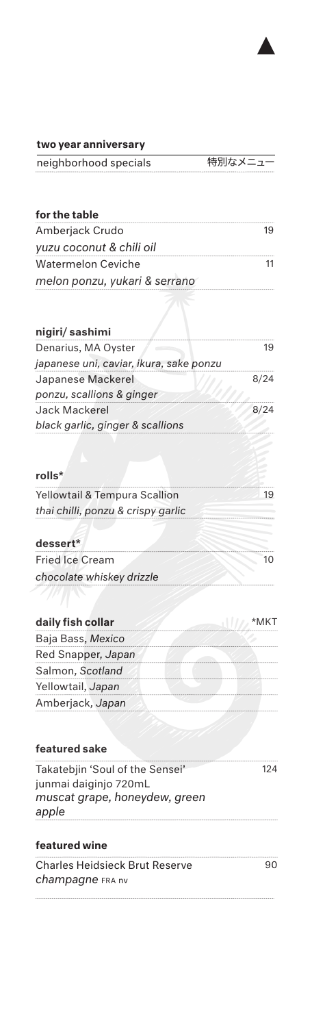

### two year anniversary

| neighborhood specials | 特別なメニュー |
|-----------------------|---------|
|                       |         |

| for the table                 |  |
|-------------------------------|--|
| Amberjack Crudo               |  |
| yuzu coconut & chili oil      |  |
| <b>Watermelon Ceviche</b>     |  |
| melon ponzu, yukari & serrano |  |

| nigiri/sashimi                          |      |
|-----------------------------------------|------|
| Denarius, MA Oyster                     | 19   |
| japanese uni, caviar, ikura, sake ponzu |      |
| Japanese Mackerel                       | 8/24 |
| ponzu, scallions & ginger               |      |
| Jack Mackerel                           | 8/24 |
| black garlic, ginger & scallions        |      |
|                                         |      |
| rolls*                                  |      |
| Yellowtail & Tempura Scallion           | 19   |

| thai chilli, ponzu & crispy garlic |  |
|------------------------------------|--|
|                                    |  |
| dessert*                           |  |
| <b>Fried Ice Cream</b>             |  |

Fried Ice Cream *chocolate whiskey drizzle* 

| daily fish collar  |  |
|--------------------|--|
| Baja Bass, Mexico  |  |
| Red Snapper, Japan |  |
| Salmon, Scotland   |  |
| Yellowtail, Japan  |  |
| Amberjack, Japan   |  |

| featured sake                   |     |
|---------------------------------|-----|
| Takatebjin 'Soul of the Sensei' | 124 |
| junmai daiginjo 720mL           |     |
| muscat grape, honeydew, green   |     |
| apple                           |     |
|                                 |     |

# featured wine

| <b>Charles Heidsieck Brut Reserve</b> | 90 |
|---------------------------------------|----|
| <b>champagne</b> FRA nv               |    |